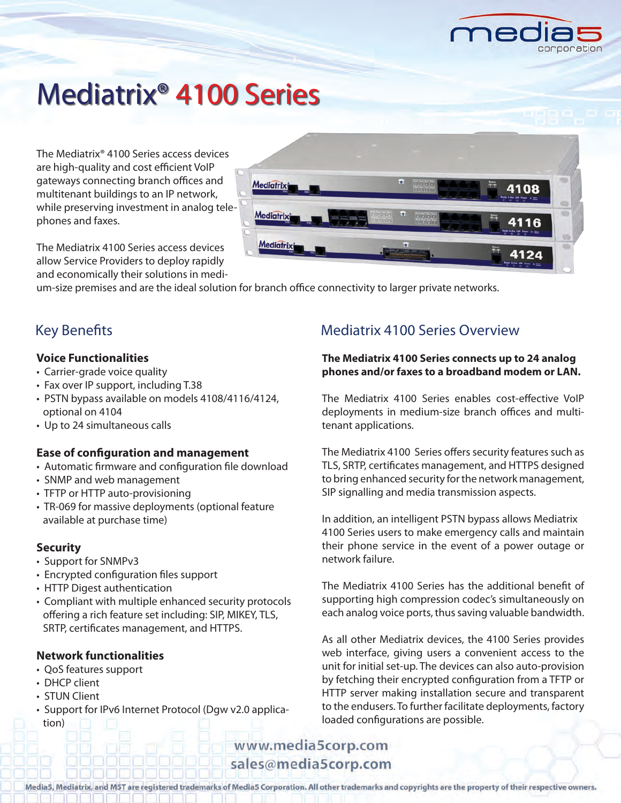

# Mediatrix® 4100 Series

The Mediatrix® 4100 Series access devices are high-quality and cost efficient VoIP gateways connecting branch offices and multitenant buildings to an IP network, while preserving investment in analog telephones and faxes.

Mediatrixi Mediatrix **Mediatrix** 

The Mediatrix 4100 Series access devices allow Service Providers to deploy rapidly and economically their solutions in medi-

um-size premises and are the ideal solution for branch office connectivity to larger private networks.

# **Voice Functionalities**

- Carrier-grade voice quality
- Fax over IP support, including T.38
- PSTN bypass available on models 4108/4116/4124, optional on 4104
- Up to 24 simultaneous calls

# **Ease of configuration and management**

- Automatic firmware and configuration file download
- SNMP and web management
- TFTP or HTTP auto-provisioning
- TR-069 for massive deployments (optional feature available at purchase time)

# **Security**

- Support for SNMPv3
- Encrypted configuration files support
- HTTP Digest authentication
- Compliant with multiple enhanced security protocols offering a rich feature set including: SIP, MIKEY, TLS, SRTP, certificates management, and HTTPS.

# **Network functionalities**

- QoS features support
- DHCP client
- STUN Client
- Support for IPv6 Internet Protocol (Dgw v2.0 application)

# Key Benefits **Mediatrix 4100 Series Overview**

# **The Mediatrix 4100 Series connects up to 24 analog phones and/or faxes to a broadband modem or LAN.**

The Mediatrix 4100 Series enables cost-effective VoIP deployments in medium-size branch offices and multitenant applications.

The Mediatrix 4100 Series offers security features such as TLS, SRTP, certificates management, and HTTPS designed to bring enhanced security for the network management, SIP signalling and media transmission aspects.

In addition, an intelligent PSTN bypass allows Mediatrix 4100 Series users to make emergency calls and maintain their phone service in the event of a power outage or network failure.

The Mediatrix 4100 Series has the additional benefit of supporting high compression codec's simultaneously on each analog voice ports, thus saving valuable bandwidth.

As all other Mediatrix devices, the 4100 Series provides web interface, giving users a convenient access to the unit for initial set-up. The devices can also auto-provision by fetching their encrypted configuration from a TFTP or HTTP server making installation secure and transparent to the endusers. To further facilitate deployments, factory loaded configurations are possible.

# www.media5corp.com sales@media5corp.com

Media5, Mediatrix, and MST are registered trademarks of Media5 Corporation. All other trademarks and copyrights are the property of their respective owners.